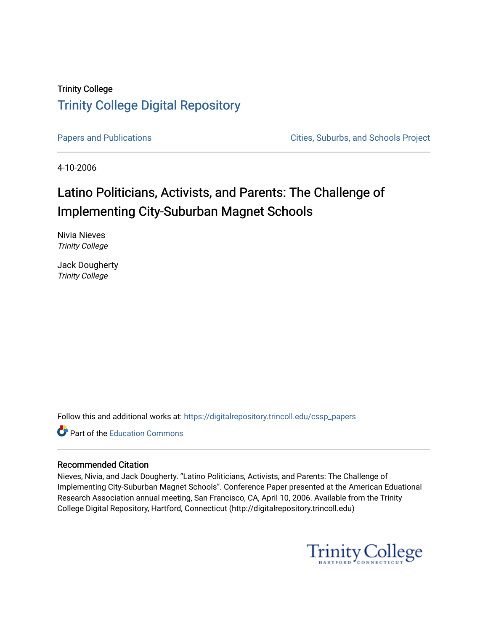## Trinity College [Trinity College Digital Repository](https://digitalrepository.trincoll.edu/)

[Papers and Publications](https://digitalrepository.trincoll.edu/cssp_papers) **Papers** and Publications **Cities**, Suburbs, and Schools Project

4-10-2006

# Latino Politicians, Activists, and Parents: The Challenge of Implementing City-Suburban Magnet Schools

Nivia Nieves Trinity College

Jack Dougherty Trinity College

Follow this and additional works at: [https://digitalrepository.trincoll.edu/cssp\\_papers](https://digitalrepository.trincoll.edu/cssp_papers?utm_source=digitalrepository.trincoll.edu%2Fcssp_papers%2F30&utm_medium=PDF&utm_campaign=PDFCoverPages) 

Part of the [Education Commons](http://network.bepress.com/hgg/discipline/784?utm_source=digitalrepository.trincoll.edu%2Fcssp_papers%2F30&utm_medium=PDF&utm_campaign=PDFCoverPages)

### Recommended Citation

Nieves, Nivia, and Jack Dougherty. "Latino Politicians, Activists, and Parents: The Challenge of Implementing City-Suburban Magnet Schools". Conference Paper presented at the American Eduational Research Association annual meeting, San Francisco, CA, April 10, 2006. Available from the Trinity College Digital Repository, Hartford, Connecticut (http://digitalrepository.trincoll.edu)

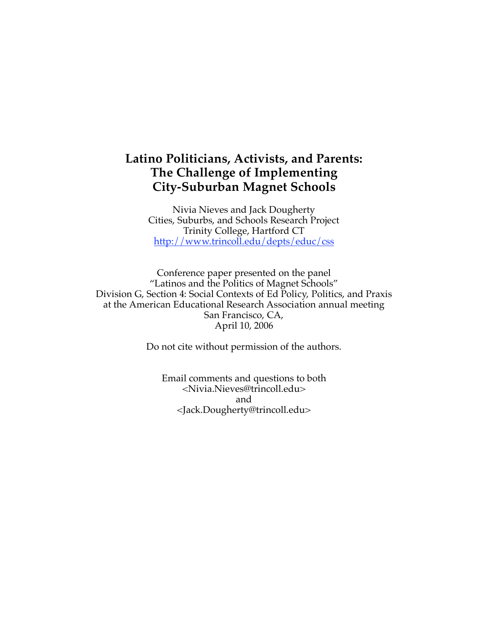## **Latino Politicians, Activists, and Parents: The Challenge of Implementing City-Suburban Magnet Schools**

Nivia Nieves and Jack Dougherty Cities, Suburbs, and Schools Research Project Trinity College, Hartford CT http://www.trincoll.edu/depts/educ/css

Conference paper presented on the panel "Latinos and the Politics of Magnet Schools" Division G, Section 4: Social Contexts of Ed Policy, Politics, and Praxis at the American Educational Research Association annual meeting San Francisco, CA, April 10, 2006

Do not cite without permission of the authors.

Email comments and questions to both <Nivia.Nieves@trincoll.edu> and <Jack.Dougherty@trincoll.edu>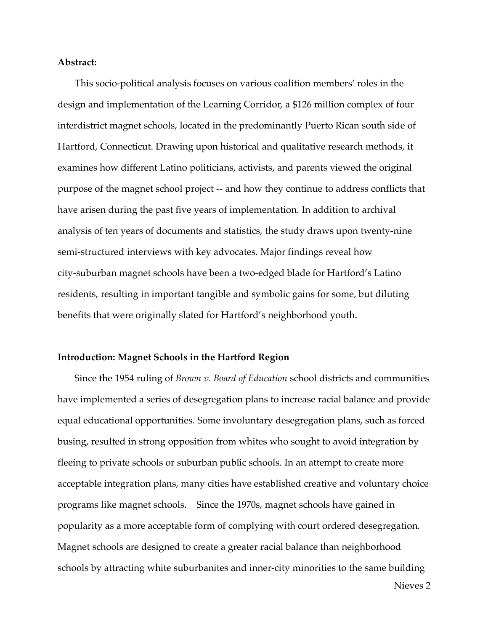#### **Abstract:**

This socio-political analysis focuses on various coalition members' roles in the design and implementation of the Learning Corridor, a \$126 million complex of four interdistrict magnet schools, located in the predominantly Puerto Rican south side of Hartford, Connecticut. Drawing upon historical and qualitative research methods, it examines how different Latino politicians, activists, and parents viewed the original purpose of the magnet school project -- and how they continue to address conflicts that have arisen during the past five years of implementation. In addition to archival analysis of ten years of documents and statistics, the study draws upon twenty-nine semi-structured interviews with key advocates. Major findings reveal how city-suburban magnet schools have been a two-edged blade for Hartford's Latino residents, resulting in important tangible and symbolic gains for some, but diluting benefits that were originally slated for Hartford's neighborhood youth.

#### **Introduction: Magnet Schools in the Hartford Region**

Since the 1954 ruling of *Brown v. Board of Education* school districts and communities have implemented a series of desegregation plans to increase racial balance and provide equal educational opportunities. Some involuntary desegregation plans, such as forced busing, resulted in strong opposition from whites who sought to avoid integration by fleeing to private schools or suburban public schools. In an attempt to create more acceptable integration plans, many cities have established creative and voluntary choice programs like magnet schools. Since the 1970s, magnet schools have gained in popularity as a more acceptable form of complying with court ordered desegregation. Magnet schools are designed to create a greater racial balance than neighborhood schools by attracting white suburbanites and inner-city minorities to the same building

Nieves 2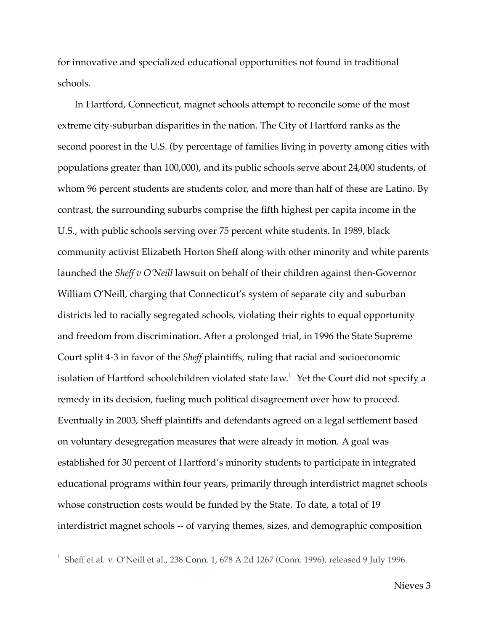for innovative and specialized educational opportunities not found in traditional schools.

In Hartford, Connecticut, magnet schools attempt to reconcile some of the most extreme city-suburban disparities in the nation. The City of Hartford ranks as the second poorest in the U.S. (by percentage of families living in poverty among cities with populations greater than 100,000), and its public schools serve about 24,000 students, of whom 96 percent students are students color, and more than half of these are Latino. By contrast, the surrounding suburbs comprise the fifth highest per capita income in the U.S., with public schools serving over 75 percent white students. In 1989, black community activist Elizabeth Horton Sheff along with other minority and white parents launched the *Sheff v O'Neill* lawsuit on behalf of their children against then-Governor William O'Neill, charging that Connecticut's system of separate city and suburban districts led to racially segregated schools, violating their rights to equal opportunity and freedom from discrimination. After a prolonged trial, in 1996 the State Supreme Court split 4-3 in favor of the *Sheff* plaintiffs, ruling that racial and socioeconomic isolation of Hartford schoolchildren violated state law.<sup>1</sup> Yet the Court did not specify a remedy in its decision, fueling much political disagreement over how to proceed. Eventually in 2003, Sheff plaintiffs and defendants agreed on a legal settlement based on voluntary desegregation measures that were already in motion. A goal was established for 30 percent of Hartford's minority students to participate in integrated educational programs within four years, primarily through interdistrict magnet schools whose construction costs would be funded by the State. To date, a total of 19 interdistrict magnet schools -- of varying themes, sizes, and demographic composition

 <sup>1</sup> Sheff et al. v. O'Neill et al., <sup>238</sup> Conn. 1, <sup>678</sup> A.2d <sup>1267</sup> (Conn. 1996), released <sup>9</sup> July 1996.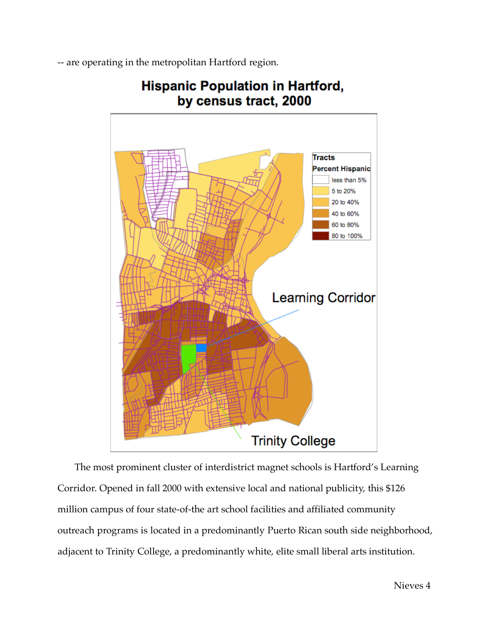-- are operating in the metropolitan Hartford region.



## **Hispanic Population in Hartford,** by census tract, 2000

The most prominent cluster of interdistrict magnet schools is Hartford's Learning Corridor. Opened in fall 2000 with extensive local and national publicity, this \$126 million campus of four state-of-the art school facilities and affiliated community outreach programs is located in a predominantly Puerto Rican south side neighborhood, adjacent to Trinity College, a predominantly white, elite small liberal arts institution.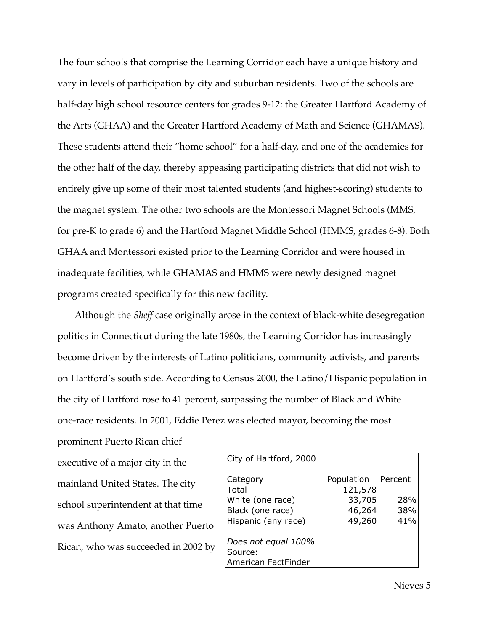The four schools that comprise the Learning Corridor each have a unique history and vary in levels of participation by city and suburban residents. Two of the schools are half-day high school resource centers for grades 9-12: the Greater Hartford Academy of the Arts (GHAA) and the Greater Hartford Academy of Math and Science (GHAMAS). These students attend their "home school" for a half-day, and one of the academies for the other half of the day, thereby appeasing participating districts that did not wish to entirely give up some of their most talented students (and highest-scoring) students to the magnet system. The other two schools are the Montessori Magnet Schools (MMS, for pre-K to grade 6) and the Hartford Magnet Middle School (HMMS, grades 6-8). Both GHAA and Montessori existed prior to the Learning Corridor and were housed in inadequate facilities, while GHAMAS and HMMS were newly designed magnet programs created specifically for this new facility.

Although the *Sheff* case originally arose in the context of black-white desegregation politics in Connecticut during the late 1980s, the Learning Corridor has increasingly become driven by the interests of Latino politicians, community activists, and parents on Hartford's south side. According to Census 2000, the Latino/Hispanic population in the city of Hartford rose to 41 percent, surpassing the number of Black and White one-race residents. In 2001, Eddie Perez was elected mayor, becoming the most

prominent Puerto Rican chief executive of a major city in the mainland United States. The city school superintendent at that time was Anthony Amato, another Puerto Rican, who was succeeded in 2002 by

| City of Hartford, 2000                                |                                         |            |
|-------------------------------------------------------|-----------------------------------------|------------|
| Category<br>Total<br>White (one race)                 | Population Percent<br>121,578<br>33,705 | 28%        |
| Black (one race)<br>Hispanic (any race)               | 46,264<br>49,260                        | 38%<br>41% |
| Does not equal 100%<br>Source:<br>American FactFinder |                                         |            |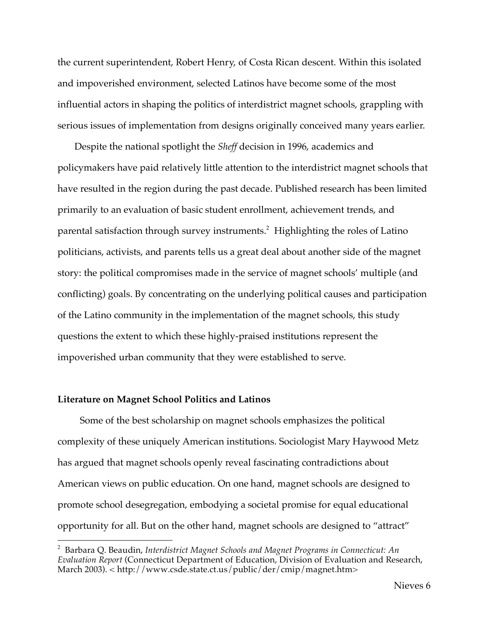the current superintendent, Robert Henry, of Costa Rican descent. Within this isolated and impoverished environment, selected Latinos have become some of the most influential actors in shaping the politics of interdistrict magnet schools, grappling with serious issues of implementation from designs originally conceived many years earlier.

Despite the national spotlight the *Sheff* decision in 1996, academics and policymakers have paid relatively little attention to the interdistrict magnet schools that have resulted in the region during the past decade. Published research has been limited primarily to an evaluation of basic student enrollment, achievement trends, and parental satisfaction through survey instruments. <sup>2</sup> Highlighting the roles of Latino politicians, activists, and parents tells us a great deal about another side of the magnet story: the political compromises made in the service of magnet schools' multiple (and conflicting) goals. By concentrating on the underlying political causes and participation of the Latino community in the implementation of the magnet schools, this study questions the extent to which these highly-praised institutions represent the impoverished urban community that they were established to serve.

#### **Literature on Magnet School Politics and Latinos**

Some of the best scholarship on magnet schools emphasizes the political complexity of these uniquely American institutions. Sociologist Mary Haywood Metz has argued that magnet schools openly reveal fascinating contradictions about American views on public education. On one hand, magnet schools are designed to promote school desegregation, embodying a societal promise for equal educational opportunity for all. But on the other hand, magnet schools are designed to "attract"

 <sup>2</sup> Barbara Q. Beaudin, *Interdistrict Magnet Schools and Magnet Programs in Connecticut: An Evaluation Report* (Connecticut Department of Education, Division of Evaluation and Research, March 2003). < http://www.csde.state.ct.us/public/der/cmip/magnet.htm>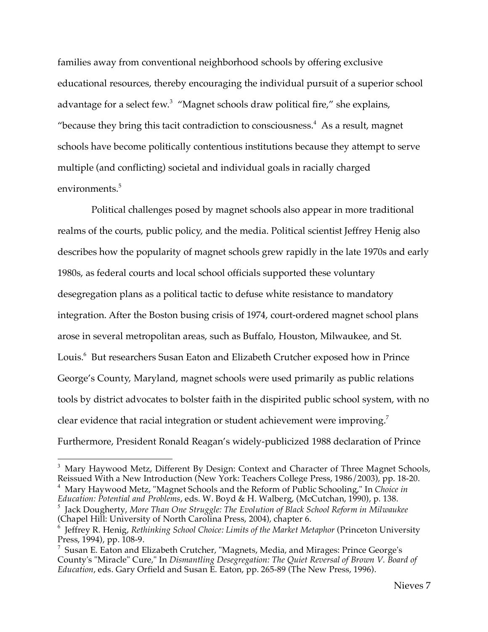families away from conventional neighborhood schools by offering exclusive educational resources, thereby encouraging the individual pursuit of a superior school advantage for a select few.<sup>3</sup> "Magnet schools draw political fire," she explains, "because they bring this tacit contradiction to consciousness. $4$  As a result, magnet schools have become politically contentious institutions because they attempt to serve multiple (and conflicting) societal and individual goals in racially charged environments. 5

Political challenges posed by magnet schools also appear in more traditional realms of the courts, public policy, and the media. Political scientist Jeffrey Henig also describes how the popularity of magnet schools grew rapidly in the late 1970s and early 1980s, as federal courts and local school officials supported these voluntary desegregation plans as a political tactic to defuse white resistance to mandatory integration. After the Boston busing crisis of 1974, court-ordered magnet school plans arose in several metropolitan areas, such as Buffalo, Houston, Milwaukee, and St. Louis. <sup>6</sup> But researchers Susan Eaton and Elizabeth Crutcher exposed how in Prince George's County, Maryland, magnet schools were used primarily as public relations tools by district advocates to bolster faith in the dispirited public school system, with no clear evidence that racial integration or student achievement were improving.<sup>7</sup> Furthermore, President Ronald Reagan's widely-publicized 1988 declaration of Prince

 $3$  Mary Haywood Metz, Different By Design: Context and Character of Three Magnet Schools, Reissued With a New Introduction (New York: Teachers College Press, 1986/2003), pp. 18-20. <sup>4</sup> Mary Haywood Metz, "Magnet Schools and the Reform of Public Schooling," In *Choice in Education: Potential and Problems*, eds. W. Boyd & H. Walberg, (McCutchan, 1990), p. 138.

<sup>5</sup> Jack Dougherty, *More Than One Struggle: The Evolution of Black School Reform in Milwaukee* (Chapel Hill: University of North Carolina Press, 2004), chapter 6.

<sup>6</sup> Jeffrey R. Henig, *Rethinking School Choice: Limits of the Market Metaphor* (Princeton University Press, 1994), pp. 108-9.

 $7$  Susan E. Eaton and Elizabeth Crutcher, "Magnets, Media, and Mirages: Prince George's County's "Miracle" Cure," In *Dismantling Desegregation: The Quiet Reversal of Brown V. Board of Education*, eds. Gary Orfield and Susan E. Eaton, pp. 265-89 (The New Press, 1996).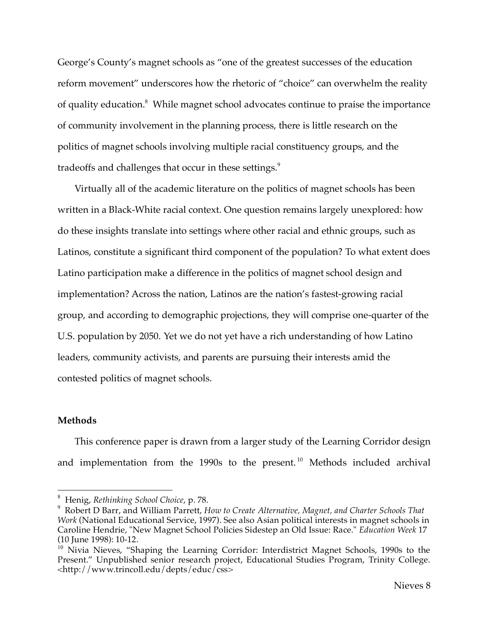George's County's magnet schools as "one of the greatest successes of the education reform movement" underscores how the rhetoric of "choice" can overwhelm the reality of quality education.<sup>8</sup> While magnet school advocates continue to praise the importance of community involvement in the planning process, there is little research on the politics of magnet schools involving multiple racial constituency groups, and the tradeoffs and challenges that occur in these settings.<sup>9</sup>

Virtually all of the academic literature on the politics of magnet schools has been written in a Black-White racial context. One question remains largely unexplored: how do these insights translate into settings where other racial and ethnic groups, such as Latinos, constitute a significant third component of the population? To what extent does Latino participation make a difference in the politics of magnet school design and implementation? Across the nation, Latinos are the nation's fastest-growing racial group, and according to demographic projections, they will comprise one-quarter of the U.S. population by 2050. Yet we do not yet have a rich understanding of how Latino leaders, community activists, and parents are pursuing their interests amid the contested politics of magnet schools.

#### **Methods**

This conference paper is drawn from a larger study of the Learning Corridor design and implementation from the 1990s to the present. <sup>10</sup> Methods included archival

 <sup>8</sup> Henig, *Rethinking School Choice*, p. 78.

<sup>9</sup> Robert D Barr, and William Parrett, *How to Create Alternative, Magnet, and Charter Schools That Work* (National Educational Service, 1997). See also Asian political interests in magnet schools in Caroline Hendrie, "New Magnet School Policies Sidestep an Old Issue: Race." *Education Week* 17 (10 June 1998): 10-12.

<sup>&</sup>lt;sup>10</sup> Nivia Nieves, "Shaping the Learning Corridor: Interdistrict Magnet Schools, 1990s to the Present." Unpublished senior research project, Educational Studies Program, Trinity College. <http://www.trincoll.edu/depts/educ/css>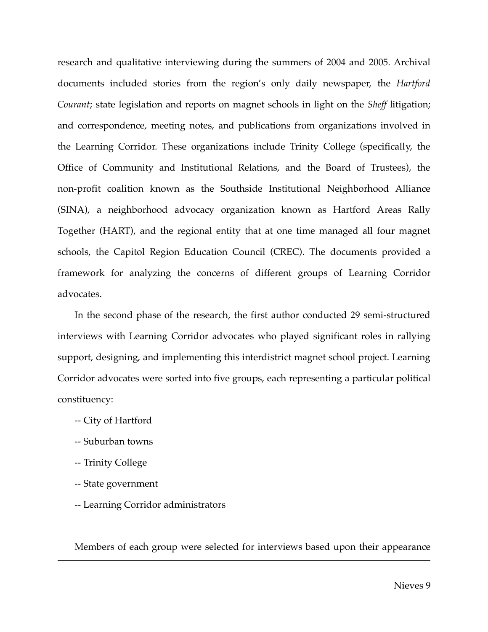research and qualitative interviewing during the summers of 2004 and 2005. Archival documents included stories from the region's only daily newspaper, the *Hartford Courant*; state legislation and reports on magnet schools in light on the *Sheff* litigation; and correspondence, meeting notes, and publications from organizations involved in the Learning Corridor. These organizations include Trinity College (specifically, the Office of Community and Institutional Relations, and the Board of Trustees), the non-profit coalition known as the Southside Institutional Neighborhood Alliance (SINA), a neighborhood advocacy organization known as Hartford Areas Rally Together (HART), and the regional entity that at one time managed all four magnet schools, the Capitol Region Education Council (CREC). The documents provided a framework for analyzing the concerns of different groups of Learning Corridor advocates.

In the second phase of the research, the first author conducted 29 semi-structured interviews with Learning Corridor advocates who played significant roles in rallying support, designing, and implementing this interdistrict magnet school project. Learning Corridor advocates were sorted into five groups, each representing a particular political constituency:

- -- City of Hartford
- -- Suburban towns
- -- Trinity College

<u>.</u>

- -- State government
- -- Learning Corridor administrators

Members of each group were selected for interviews based upon their appearance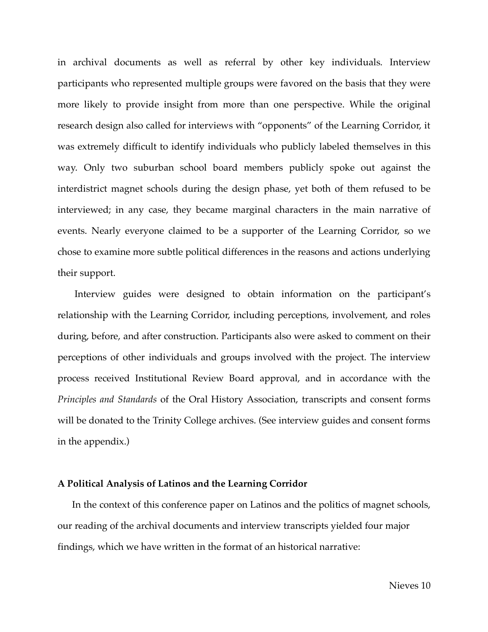in archival documents as well as referral by other key individuals. Interview participants who represented multiple groups were favored on the basis that they were more likely to provide insight from more than one perspective. While the original research design also called for interviews with "opponents" of the Learning Corridor, it was extremely difficult to identify individuals who publicly labeled themselves in this way. Only two suburban school board members publicly spoke out against the interdistrict magnet schools during the design phase, yet both of them refused to be interviewed; in any case, they became marginal characters in the main narrative of events. Nearly everyone claimed to be a supporter of the Learning Corridor, so we chose to examine more subtle political differences in the reasons and actions underlying their support.

Interview guides were designed to obtain information on the participant's relationship with the Learning Corridor, including perceptions, involvement, and roles during, before, and after construction. Participants also were asked to comment on their perceptions of other individuals and groups involved with the project. The interview process received Institutional Review Board approval, and in accordance with the *Principles and Standards* of the Oral History Association, transcripts and consent forms will be donated to the Trinity College archives. (See interview guides and consent forms in the appendix.)

#### **A Political Analysis of Latinos and the Learning Corridor**

In the context of this conference paper on Latinos and the politics of magnet schools, our reading of the archival documents and interview transcripts yielded four major findings, which we have written in the format of an historical narrative: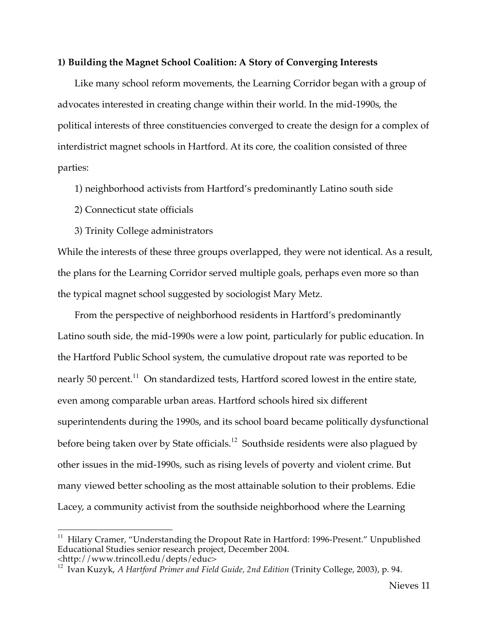#### **1) Building the Magnet School Coalition: A Story of Converging Interests**

Like many school reform movements, the Learning Corridor began with a group of advocates interested in creating change within their world. In the mid-1990s, the political interests of three constituencies converged to create the design for a complex of interdistrict magnet schools in Hartford. At its core, the coalition consisted of three parties:

1) neighborhood activists from Hartford's predominantly Latino south side

2) Connecticut state officials

3) Trinity College administrators

While the interests of these three groups overlapped, they were not identical. As a result, the plans for the Learning Corridor served multiple goals, perhaps even more so than the typical magnet school suggested by sociologist Mary Metz.

From the perspective of neighborhood residents in Hartford's predominantly Latino south side, the mid-1990s were a low point, particularly for public education. In the Hartford Public School system, the cumulative dropout rate was reported to be nearly 50 percent. $^{11}$  On standardized tests, Hartford scored lowest in the entire state, even among comparable urban areas. Hartford schools hired six different superintendents during the 1990s, and its school board became politically dysfunctional before being taken over by State officials.<sup>12</sup> Southside residents were also plagued by other issues in the mid-1990s, such as rising levels of poverty and violent crime. But many viewed better schooling as the most attainable solution to their problems. Edie Lacey, a community activist from the southside neighborhood where the Learning

<sup>&</sup>lt;sup>11</sup> Hilary Cramer, "Understanding the Dropout Rate in Hartford: 1996-Present." Unpublished Educational Studies senior research project, December 2004. <http://www.trincoll.edu/depts/educ>

<sup>12</sup> Ivan Kuzyk, *A Hartford Primer and Field Guide, 2nd Edition* (Trinity College, 2003), p. 94.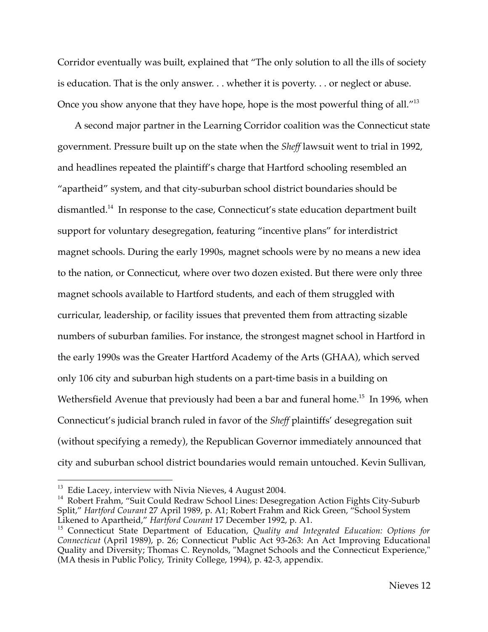Corridor eventually was built, explained that "The only solution to all the ills of society is education. That is the only answer. . . whether it is poverty. . . or neglect or abuse. Once you show anyone that they have hope, hope is the most powerful thing of all.<sup>"13</sup>

A second major partner in the Learning Corridor coalition was the Connecticut state government. Pressure built up on the state when the *Sheff* lawsuit went to trial in 1992, and headlines repeated the plaintiff's charge that Hartford schooling resembled an "apartheid" system, and that city-suburban school district boundaries should be dismantled. <sup>14</sup> In response to the case, Connecticut's state education department built support for voluntary desegregation, featuring "incentive plans" for interdistrict magnet schools. During the early 1990s, magnet schools were by no means a new idea to the nation, or Connecticut, where over two dozen existed. But there were only three magnet schools available to Hartford students, and each of them struggled with curricular, leadership, or facility issues that prevented them from attracting sizable numbers of suburban families. For instance, the strongest magnet school in Hartford in the early 1990s was the Greater Hartford Academy of the Arts (GHAA), which served only 106 city and suburban high students on a part-time basis in a building on Wethersfield Avenue that previously had been a bar and funeral home.<sup>15</sup> In 1996, when Connecticut's judicial branch ruled in favor of the *Sheff* plaintiffs' desegregation suit (without specifying a remedy), the Republican Governor immediately announced that city and suburban school district boundaries would remain untouched. Kevin Sullivan,

<sup>&</sup>lt;sup>13</sup> Edie Lacey, interview with Nivia Nieves, 4 August 2004.<br><sup>14</sup> Robert Frahm, "Suit Could Redraw School Lines: Desegregation Action Fights City-Suburb Split," *Hartford Courant* 27 April 1989, p. A1; Robert Frahm and Rick Green, "School System Likened to Apartheid," *Hartford Courant* 17 December 1992, p. A1.

<sup>15</sup> Connecticut State Department of Education, *Quality and Integrated Education: Options for Connecticut* (April 1989), p. 26; Connecticut Public Act 93-263: An Act Improving Educational Quality and Diversity; Thomas C. Reynolds, "Magnet Schools and the Connecticut Experience," (MA thesis in Public Policy, Trinity College, 1994), p. 42-3, appendix.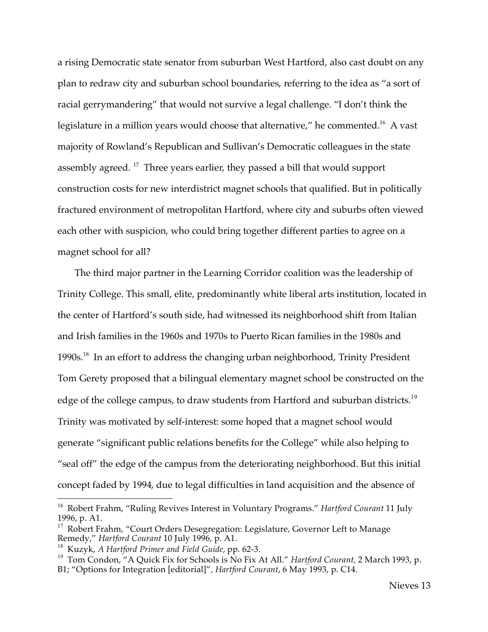a rising Democratic state senator from suburban West Hartford, also cast doubt on any plan to redraw city and suburban school boundaries, referring to the idea as "a sort of racial gerrymandering" that would not survive a legal challenge. "I don't think the legislature in a million years would choose that alternative," he commented.<sup>16</sup> A vast majority of Rowland's Republican and Sullivan's Democratic colleagues in the state assembly agreed.<sup>17</sup> Three years earlier, they passed a bill that would support construction costs for new interdistrict magnet schools that qualified. But in politically fractured environment of metropolitan Hartford, where city and suburbs often viewed each other with suspicion, who could bring together different parties to agree on a magnet school for all?

The third major partner in the Learning Corridor coalition was the leadership of Trinity College. This small, elite, predominantly white liberal arts institution, located in the center of Hartford's south side, had witnessed its neighborhood shift from Italian and Irish families in the 1960s and 1970s to Puerto Rican families in the 1980s and 1990s.<sup>18</sup> In an effort to address the changing urban neighborhood, Trinity President Tom Gerety proposed that a bilingual elementary magnet school be constructed on the edge of the college campus, to draw students from Hartford and suburban districts.<sup>19</sup> Trinity was motivated by self-interest: some hoped that a magnet school would generate "significant public relations benefits for the College" while also helping to "seal off" the edge of the campus from the deteriorating neighborhood. But this initial concept faded by 1994, due to legal difficulties in land acquisition and the absence of

 <sup>16</sup> Robert Frahm, "Ruling Revives Interest in Voluntary Programs." *Hartford Courant* <sup>11</sup> July 1996, p. A1.

<sup>&</sup>lt;sup>17</sup> Robert Frahm, "Court Orders Desegregation: Legislature, Governor Left to Manage Remedy," *Hartford Courant* 10 July 1996, p. A1.

<sup>&</sup>lt;sup>19</sup> Tom Condon, "A Quick Fix for Schools is No Fix At All." *Hartford Courant*, 2 March 1993, p.

B1; "Options for Integration [editorial]"*, Hartford Courant*, 6 May 1993, p. C14.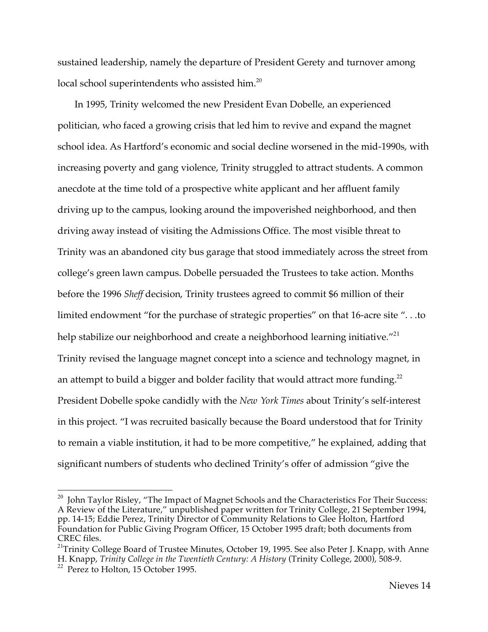sustained leadership, namely the departure of President Gerety and turnover among local school superintendents who assisted him.<sup>20</sup>

In 1995, Trinity welcomed the new President Evan Dobelle, an experienced politician, who faced a growing crisis that led him to revive and expand the magnet school idea. As Hartford's economic and social decline worsened in the mid-1990s, with increasing poverty and gang violence, Trinity struggled to attract students. A common anecdote at the time told of a prospective white applicant and her affluent family driving up to the campus, looking around the impoverished neighborhood, and then driving away instead of visiting the Admissions Office. The most visible threat to Trinity was an abandoned city bus garage that stood immediately across the street from college's green lawn campus. Dobelle persuaded the Trustees to take action. Months before the 1996 *Sheff* decision, Trinity trustees agreed to commit \$6 million of their limited endowment "for the purchase of strategic properties" on that 16-acre site ". . .to help stabilize our neighborhood and create a neighborhood learning initiative."<sup>21</sup> Trinity revised the language magnet concept into a science and technology magnet, in an attempt to build a bigger and bolder facility that would attract more funding.<sup>22</sup> President Dobelle spoke candidly with the *New York Times* about Trinity's self-interest in this project. "I was recruited basically because the Board understood that for Trinity to remain a viable institution, it had to be more competitive," he explained, adding that significant numbers of students who declined Trinity's offer of admission "give the

<sup>&</sup>lt;sup>20</sup> John Taylor Risley, "The Impact of Magnet Schools and the Characteristics For Their Success: A Review of the Literature," unpublished paper written for Trinity College, 21 September 1994, pp. 14-15; Eddie Perez, Trinity Director of Community Relations to Glee Holton, Hartford Foundation for Public Giving Program Officer, 15 October 1995 draft; both documents from CREC files.

<sup>&</sup>lt;sup>21</sup>Trinity College Board of Trustee Minutes, October 19, 1995. See also Peter J. Knapp, with Anne H. Knapp, *Trinity College in the Twentieth Century: <sup>A</sup> History* (Trinity College, 2000), 508-9. <sup>22</sup> Perez to Holton, <sup>15</sup> October 1995.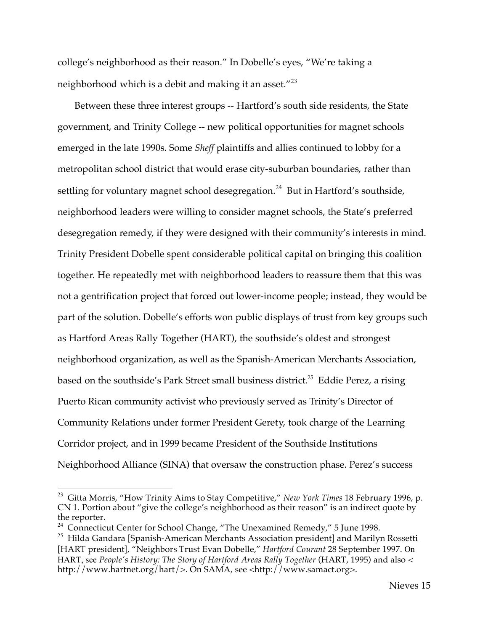college's neighborhood as their reason." In Dobelle's eyes, "We're taking a neighborhood which is a debit and making it an asset."<sup>23</sup>

Between these three interest groups -- Hartford's south side residents, the State government, and Trinity College -- new political opportunities for magnet schools emerged in the late 1990s. Some *Sheff* plaintiffs and allies continued to lobby for a metropolitan school district that would erase city-suburban boundaries, rather than settling for voluntary magnet school desegregation.<sup>24</sup> But in Hartford's southside, neighborhood leaders were willing to consider magnet schools, the State's preferred desegregation remedy, if they were designed with their community's interests in mind. Trinity President Dobelle spent considerable political capital on bringing this coalition together. He repeatedly met with neighborhood leaders to reassure them that this was not a gentrification project that forced out lower-income people; instead, they would be part of the solution. Dobelle's efforts won public displays of trust from key groups such as Hartford Areas Rally Together (HART), the southside's oldest and strongest neighborhood organization, as well as the Spanish-American Merchants Association, based on the southside's Park Street small business district. <sup>25</sup> Eddie Perez, a rising Puerto Rican community activist who previously served as Trinity's Director of Community Relations under former President Gerety, took charge of the Learning Corridor project, and in 1999 became President of the Southside Institutions Neighborhood Alliance (SINA) that oversaw the construction phase. Perez's success

 <sup>23</sup> Gitta Morris, "How Trinity Aims to Stay Competitive," *New York Times* <sup>18</sup> February 1996, p. CN 1. Portion about "give the college's neighborhood as their reason" is an indirect quote by the reporter.

<sup>&</sup>lt;sup>24</sup> Connecticut Center for School Change, "The Unexamined Remedy," 5 June 1998.<br><sup>25</sup> Hilda Gandara [Spanish-American Merchants Association president] and Marilyn Rossetti

<sup>[</sup>HART president], "Neighbors Trust Evan Dobelle," *Hartford Courant* 28 September 1997. On HART, see *People's History: The Story of Hartford Areas Rally Together* (HART, 1995) and also < http://www.hartnet.org/hart/>. On SAMA, see <http://www.samact.org>.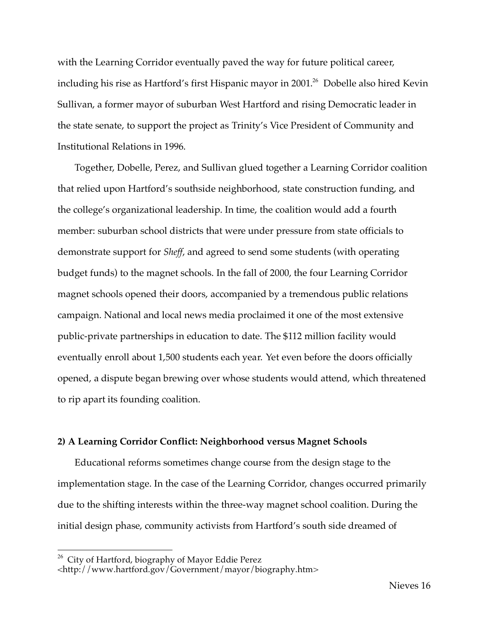with the Learning Corridor eventually paved the way for future political career, including his rise as Hartford's first Hispanic mayor in 2001. <sup>26</sup> Dobelle also hired Kevin Sullivan, a former mayor of suburban West Hartford and rising Democratic leader in the state senate, to support the project as Trinity's Vice President of Community and Institutional Relations in 1996.

Together, Dobelle, Perez, and Sullivan glued together a Learning Corridor coalition that relied upon Hartford's southside neighborhood, state construction funding, and the college's organizational leadership. In time, the coalition would add a fourth member: suburban school districts that were under pressure from state officials to demonstrate support for *Sheff*, and agreed to send some students (with operating budget funds) to the magnet schools. In the fall of 2000, the four Learning Corridor magnet schools opened their doors, accompanied by a tremendous public relations campaign. National and local news media proclaimed it one of the most extensive public-private partnerships in education to date. The \$112 million facility would eventually enroll about 1,500 students each year. Yet even before the doors officially opened, a dispute began brewing over whose students would attend, which threatened to rip apart its founding coalition.

### **2) A Learning Corridor Conflict: Neighborhood versus Magnet Schools**

Educational reforms sometimes change course from the design stage to the implementation stage. In the case of the Learning Corridor, changes occurred primarily due to the shifting interests within the three-way magnet school coalition. During the initial design phase, community activists from Hartford's south side dreamed of

<sup>&</sup>lt;sup>26</sup> City of Hartford, biography of Mayor Eddie Perez

<sup>&</sup>lt;http://www.hartford.gov/Government/mayor/biography.htm>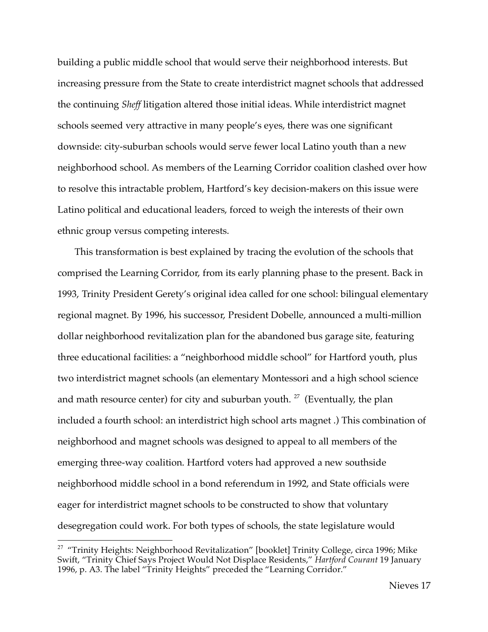building a public middle school that would serve their neighborhood interests. But increasing pressure from the State to create interdistrict magnet schools that addressed the continuing *Sheff* litigation altered those initial ideas. While interdistrict magnet schools seemed very attractive in many people's eyes, there was one significant downside: city-suburban schools would serve fewer local Latino youth than a new neighborhood school. As members of the Learning Corridor coalition clashed over how to resolve this intractable problem, Hartford's key decision-makers on this issue were Latino political and educational leaders, forced to weigh the interests of their own ethnic group versus competing interests.

This transformation is best explained by tracing the evolution of the schools that comprised the Learning Corridor, from its early planning phase to the present. Back in 1993, Trinity President Gerety's original idea called for one school: bilingual elementary regional magnet. By 1996, his successor, President Dobelle, announced a multi-million dollar neighborhood revitalization plan for the abandoned bus garage site, featuring three educational facilities: a "neighborhood middle school" for Hartford youth, plus two interdistrict magnet schools (an elementary Montessori and a high school science and math resource center) for city and suburban youth.  $27$  (Eventually, the plan included a fourth school: an interdistrict high school arts magnet .) This combination of neighborhood and magnet schools was designed to appeal to all members of the emerging three-way coalition. Hartford voters had approved a new southside neighborhood middle school in a bond referendum in 1992, and State officials were eager for interdistrict magnet schools to be constructed to show that voluntary desegregation could work. For both types of schools, the state legislature would

<sup>&</sup>lt;sup>27</sup> "Trinity Heights: Neighborhood Revitalization" [booklet] Trinity College, circa 1996; Mike Swift, "Trinity Chief Says Project Would Not Displace Residents," *Hartford Courant* 19 January 1996, p. A3. The label "Trinity Heights" preceded the "Learning Corridor."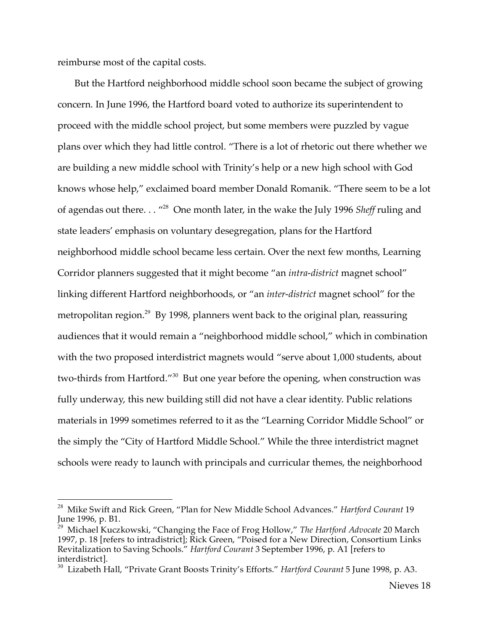reimburse most of the capital costs.

But the Hartford neighborhood middle school soon became the subject of growing concern. In June 1996, the Hartford board voted to authorize its superintendent to proceed with the middle school project, but some members were puzzled by vague plans over which they had little control. "There is a lot of rhetoric out there whether we are building a new middle school with Trinity's help or a new high school with God knows whose help," exclaimed board member Donald Romanik. "There seem to be a lot of agendas out there. . . "28 One month later, in the wake the July 1996 *Sheff* ruling and state leaders' emphasis on voluntary desegregation, plans for the Hartford neighborhood middle school became less certain. Over the next few months, Learning Corridor planners suggested that it might become "an *intra-district* magnet school" linking different Hartford neighborhoods, or "an *inter-district* magnet school" for the metropolitan region.<sup>29</sup> By 1998, planners went back to the original plan, reassuring audiences that it would remain a "neighborhood middle school," which in combination with the two proposed interdistrict magnets would "serve about 1,000 students, about two-thirds from Hartford."<sup>30</sup> But one year before the opening, when construction was fully underway, this new building still did not have a clear identity. Public relations materials in 1999 sometimes referred to it as the "Learning Corridor Middle School" or the simply the "City of Hartford Middle School." While the three interdistrict magnet schools were ready to launch with principals and curricular themes, the neighborhood

 <sup>28</sup> Mike Swift and Rick Green, "Plan for New Middle School Advances." *Hartford Courant* <sup>19</sup> June 1996, p. B1.

<sup>29</sup> Michael Kuczkowski, "Changing the Face of Frog Hollow," *The Hartford Advocate* 20 March 1997, p. 18 [refers to intradistrict]; Rick Green, "Poised for a New Direction, Consortium Links Revitalization to Saving Schools." *Hartford Courant* 3 September 1996, p. A1 [refers to interdistrict].

<sup>30</sup> Lizabeth Hall, "Private Grant Boosts Trinity's Efforts." *Hartford Courant* 5 June 1998, p. A3.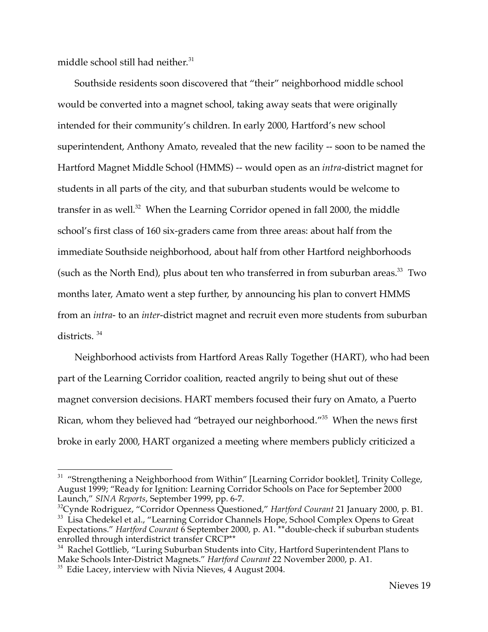middle school still had neither. 31

Southside residents soon discovered that "their" neighborhood middle school would be converted into a magnet school, taking away seats that were originally intended for their community's children. In early 2000, Hartford's new school superintendent, Anthony Amato, revealed that the new facility -- soon to be named the Hartford Magnet Middle School (HMMS) -- would open as an *intra*-district magnet for students in all parts of the city, and that suburban students would be welcome to transfer in as well.<sup>32</sup> When the Learning Corridor opened in fall 2000, the middle school's first class of 160 six-graders came from three areas: about half from the immediate Southside neighborhood, about half from other Hartford neighborhoods (such as the North End), plus about ten who transferred in from suburban areas.<sup>33</sup> Two months later, Amato went a step further, by announcing his plan to convert HMMS from an *intra*- to an *inter*-district magnet and recruit even more students from suburban districts. <sup>34</sup>

Neighborhood activists from Hartford Areas Rally Together (HART), who had been part of the Learning Corridor coalition, reacted angrily to being shut out of these magnet conversion decisions. HART members focused their fury on Amato, a Puerto Rican, whom they believed had "betrayed our neighborhood."35 When the news first broke in early 2000, HART organized a meeting where members publicly criticized a

<sup>&</sup>lt;sup>31</sup> "Strengthening a Neighborhood from Within" [Learning Corridor booklet], Trinity College, August 1999; "Ready for Ignition: Learning Corridor Schools on Pace for September 2000 Launch," *SINA Reports*, September 1999, pp. 6-7.

<sup>&</sup>lt;sup>32</sup>Cynde Rodriguez, "Corridor Openness Questioned," Hartford Courant 21 January 2000, p. B1. <sup>33</sup> Lisa Chedekel et al., "Learning Corridor Channels Hope, School Complex Opens to Great Expectations." *Hartford Courant* 6 September 2000, p. A1.<sup>\*\*</sup>double-check if suburban students enrolled through interdistrict transfer CRCP<sup>\*\*</sup>

<sup>&</sup>lt;sup>34</sup> Rachel Gottlieb, "Luring Suburban Students into City, Hartford Superintendent Plans to Make Schools Inter-District Magnets." *Hartford Courant* <sup>22</sup> November 2000, p. A1. <sup>35</sup> Edie Lacey, interview with Nivia Nieves, <sup>4</sup> August 2004.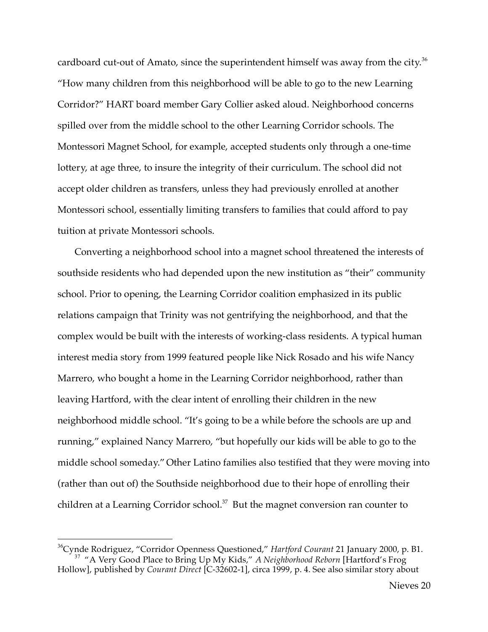cardboard cut-out of Amato, since the superintendent himself was away from the city.<sup>36</sup> "How many children from this neighborhood will be able to go to the new Learning Corridor?" HART board member Gary Collier asked aloud. Neighborhood concerns spilled over from the middle school to the other Learning Corridor schools. The Montessori Magnet School, for example, accepted students only through a one-time lottery, at age three, to insure the integrity of their curriculum. The school did not accept older children as transfers, unless they had previously enrolled at another Montessori school, essentially limiting transfers to families that could afford to pay tuition at private Montessori schools.

Converting a neighborhood school into a magnet school threatened the interests of southside residents who had depended upon the new institution as "their" community school. Prior to opening, the Learning Corridor coalition emphasized in its public relations campaign that Trinity was not gentrifying the neighborhood, and that the complex would be built with the interests of working-class residents. A typical human interest media story from 1999 featured people like Nick Rosado and his wife Nancy Marrero, who bought a home in the Learning Corridor neighborhood, rather than leaving Hartford, with the clear intent of enrolling their children in the new neighborhood middle school. "It's going to be a while before the schools are up and running," explained Nancy Marrero, "but hopefully our kids will be able to go to the middle school someday." Other Latino families also testified that they were moving into (rather than out of) the Southside neighborhood due to their hope of enrolling their children at a Learning Corridor school. <sup>37</sup> But the magnet conversion ran counter to

<sup>&</sup>lt;sup>36</sup>Cynde Rodriguez, "Corridor Openness Questioned," Hartford Courant 21 January 2000, p. B1. <sup>37</sup> "A Very Good Place to Bring Up My Kids," *A Neighborhood Reborn* [Hartford's Frog Hollow], published by *Courant Direct* [C-32602-1], circa 1999, p. 4. See also similar story about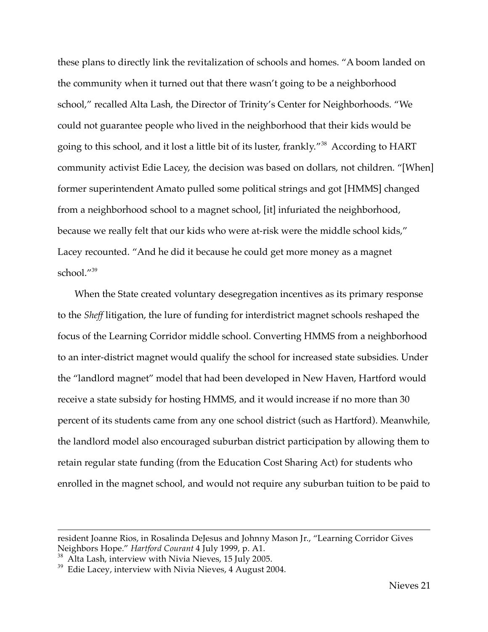these plans to directly link the revitalization of schools and homes. "A boom landed on the community when it turned out that there wasn't going to be a neighborhood school," recalled Alta Lash, the Director of Trinity's Center for Neighborhoods. "We could not guarantee people who lived in the neighborhood that their kids would be going to this school, and it lost a little bit of its luster, frankly."<sup>38</sup> According to HART community activist Edie Lacey, the decision was based on dollars, not children. "[When] former superintendent Amato pulled some political strings and got [HMMS] changed from a neighborhood school to a magnet school, [it] infuriated the neighborhood, because we really felt that our kids who were at-risk were the middle school kids," Lacey recounted. "And he did it because he could get more money as a magnet school."39

When the State created voluntary desegregation incentives as its primary response to the *Sheff* litigation, the lure of funding for interdistrict magnet schools reshaped the focus of the Learning Corridor middle school. Converting HMMS from a neighborhood to an inter-district magnet would qualify the school for increased state subsidies. Under the "landlord magnet" model that had been developed in New Haven, Hartford would receive a state subsidy for hosting HMMS, and it would increase if no more than 30 percent of its students came from any one school district (such as Hartford). Meanwhile, the landlord model also encouraged suburban district participation by allowing them to retain regular state funding (from the Education Cost Sharing Act) for students who enrolled in the magnet school, and would not require any suburban tuition to be paid to

<u>.</u>

resident Joanne Rios, in Rosalinda DeJesus and Johnny Mason Jr., "Learning Corridor Gives Neighbors Hope." Hartford Courant 4 July 1999, p. A1.

<sup>&</sup>lt;sup>38</sup> Alta Lash, interview with Nivia Nieves, 15 July 2005.<br><sup>39</sup> Edie Lacey, interview with Nivia Nieves, 4 August 2004.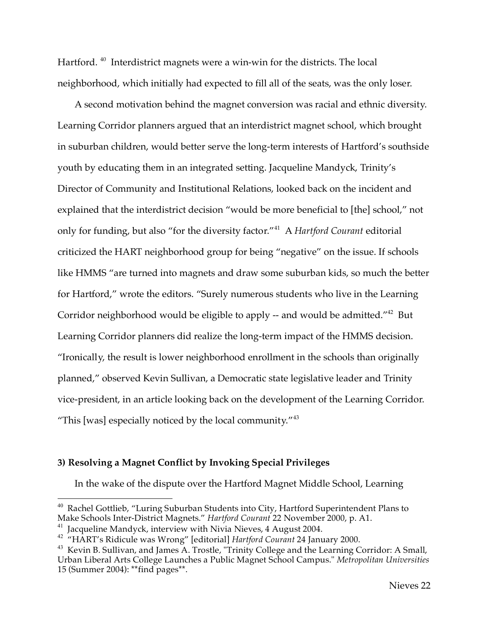Hartford.<sup>40</sup> Interdistrict magnets were a win-win for the districts. The local neighborhood, which initially had expected to fill all of the seats, was the only loser.

A second motivation behind the magnet conversion was racial and ethnic diversity. Learning Corridor planners argued that an interdistrict magnet school, which brought in suburban children, would better serve the long-term interests of Hartford's southside youth by educating them in an integrated setting. Jacqueline Mandyck, Trinity's Director of Community and Institutional Relations, looked back on the incident and explained that the interdistrict decision "would be more beneficial to [the] school," not only for funding, but also "for the diversity factor."<sup>41</sup> A *Hartford Courant* editorial criticized the HART neighborhood group for being "negative" on the issue. If schools like HMMS "are turned into magnets and draw some suburban kids, so much the better for Hartford," wrote the editors. "Surely numerous students who live in the Learning Corridor neighborhood would be eligible to apply -- and would be admitted."<sup>42</sup> But Learning Corridor planners did realize the long-term impact of the HMMS decision. "Ironically, the result is lower neighborhood enrollment in the schools than originally planned," observed Kevin Sullivan, a Democratic state legislative leader and Trinity vice-president, in an article looking back on the development of the Learning Corridor. "This [was] especially noticed by the local community." $43$ 

## **3) Resolving a Magnet Conflict by Invoking Special Privileges**

In the wake of the dispute over the Hartford Magnet Middle School, Learning

<sup>&</sup>lt;sup>40</sup> Rachel Gottlieb, "Luring Suburban Students into City, Hartford Superintendent Plans to Make Schools Inter-District Magnets." *Hartford Courant* 22 November 2000, p. A1.

<sup>41</sup> Jacqueline Mandyck, interview with Nivia Nieves, <sup>4</sup> August 2004. <sup>42</sup> "HART's Ridicule was Wrong" [editorial] *Hartford Courant* <sup>24</sup> January 2000.

<sup>&</sup>lt;sup>43</sup> Kevin B. Sullivan, and James A. Trostle, "Trinity College and the Learning Corridor: A Small, Urban Liberal Arts College Launches a Public Magnet School Campus." *Metropolitan Universities* 15 (Summer 2004): \*\*find pages\*\*.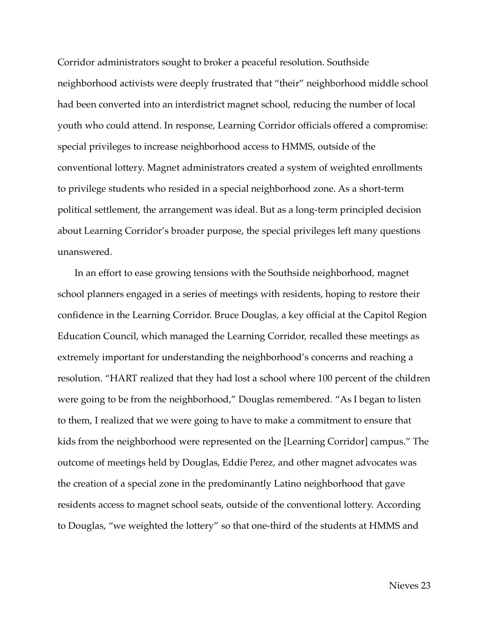Corridor administrators sought to broker a peaceful resolution. Southside neighborhood activists were deeply frustrated that "their" neighborhood middle school had been converted into an interdistrict magnet school, reducing the number of local youth who could attend. In response, Learning Corridor officials offered a compromise: special privileges to increase neighborhood access to HMMS, outside of the conventional lottery. Magnet administrators created a system of weighted enrollments to privilege students who resided in a special neighborhood zone. As a short-term political settlement, the arrangement was ideal. But as a long-term principled decision about Learning Corridor's broader purpose, the special privileges left many questions unanswered.

In an effort to ease growing tensions with the Southside neighborhood, magnet school planners engaged in a series of meetings with residents, hoping to restore their confidence in the Learning Corridor. Bruce Douglas, a key official at the Capitol Region Education Council, which managed the Learning Corridor, recalled these meetings as extremely important for understanding the neighborhood's concerns and reaching a resolution. "HART realized that they had lost a school where 100 percent of the children were going to be from the neighborhood," Douglas remembered. "As I began to listen to them, I realized that we were going to have to make a commitment to ensure that kids from the neighborhood were represented on the [Learning Corridor] campus." The outcome of meetings held by Douglas, Eddie Perez, and other magnet advocates was the creation of a special zone in the predominantly Latino neighborhood that gave residents access to magnet school seats, outside of the conventional lottery. According to Douglas, "we weighted the lottery" so that one-third of the students at HMMS and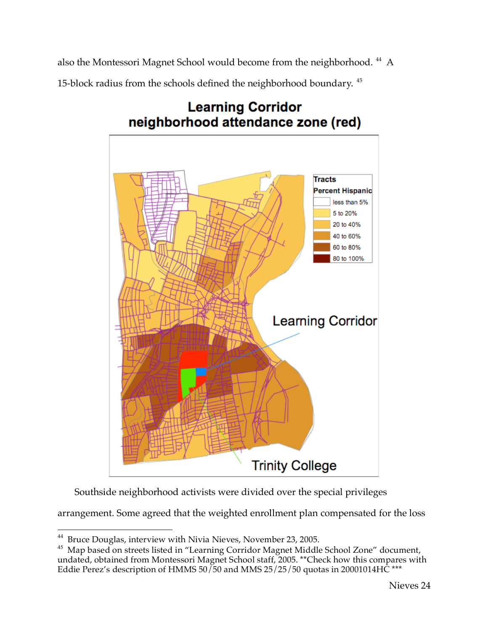also the Montessori Magnet School would become from the neighborhood. <sup>44</sup> A

15-block radius from the schools defined the neighborhood boundary. <sup>45</sup>



## **Learning Corridor** neighborhood attendance zone (red)

Southside neighborhood activists were divided over the special privileges

arrangement. Some agreed that the weighted enrollment plan compensated for the loss

<sup>&</sup>lt;sup>44</sup> Bruce Douglas, interview with Nivia Nieves, November 23, 2005.

<sup>&</sup>lt;sup>45</sup> Map based on streets listed in "Learning Corridor Magnet Middle School Zone" document, undated, obtained from Montessori Magnet School staff, 2005. \*\*Check how this compares with Eddie Perez's description of HMMS  $50/50$  and MMS  $25/25/50$  quotas in 20001014HC \*\*\*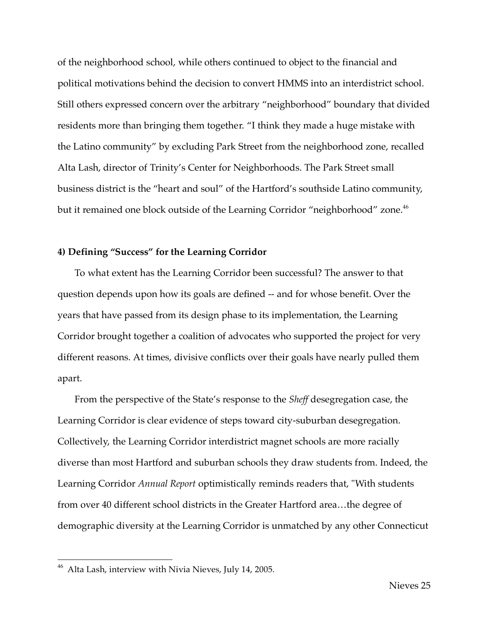of the neighborhood school, while others continued to object to the financial and political motivations behind the decision to convert HMMS into an interdistrict school. Still others expressed concern over the arbitrary "neighborhood" boundary that divided residents more than bringing them together. "I think they made a huge mistake with the Latino community" by excluding Park Street from the neighborhood zone, recalled Alta Lash, director of Trinity's Center for Neighborhoods. The Park Street small business district is the "heart and soul" of the Hartford's southside Latino community, but it remained one block outside of the Learning Corridor "neighborhood" zone.<sup>46</sup>

### **4) Defining "Success" for the Learning Corridor**

To what extent has the Learning Corridor been successful? The answer to that question depends upon how its goals are defined -- and for whose benefit. Over the years that have passed from its design phase to its implementation, the Learning Corridor brought together a coalition of advocates who supported the project for very different reasons. At times, divisive conflicts over their goals have nearly pulled them apart.

From the perspective of the State's response to the *Sheff* desegregation case, the Learning Corridor is clear evidence of steps toward city-suburban desegregation. Collectively, the Learning Corridor interdistrict magnet schools are more racially diverse than most Hartford and suburban schools they draw students from. Indeed, the Learning Corridor *Annual Report* optimistically reminds readers that, "With students from over 40 different school districts in the Greater Hartford area…the degree of demographic diversity at the Learning Corridor is unmatched by any other Connecticut

 <sup>46</sup> Alta Lash, interview with Nivia Nieves, July 14, 2005.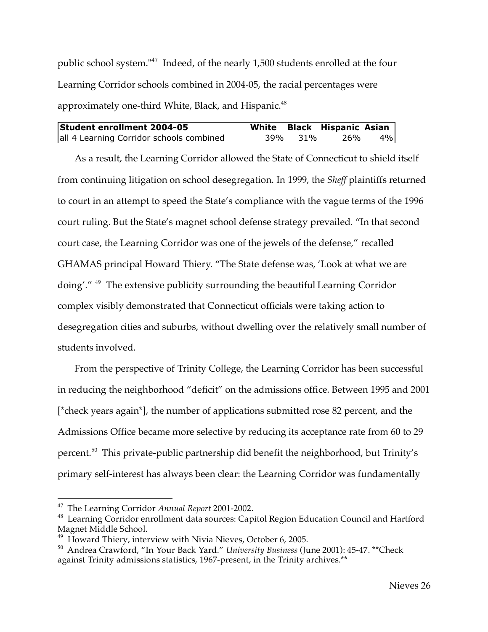public school system."<sup>47</sup> Indeed, of the nearly 1,500 students enrolled at the four Learning Corridor schools combined in 2004-05, the racial percentages were approximately one-third White, Black, and Hispanic.<sup>48</sup>

| <b>Student enrollment 2004-05</b>        |         | White Black Hispanic Asian |       |
|------------------------------------------|---------|----------------------------|-------|
| all 4 Learning Corridor schools combined | 39% 31% | 26%                        | $4\%$ |

As a result, the Learning Corridor allowed the State of Connecticut to shield itself from continuing litigation on school desegregation. In 1999, the *Sheff* plaintiffs returned to court in an attempt to speed the State's compliance with the vague terms of the 1996 court ruling. But the State's magnet school defense strategy prevailed. "In that second court case, the Learning Corridor was one of the jewels of the defense," recalled GHAMAS principal Howard Thiery. "The State defense was, 'Look at what we are doing'." <sup>49</sup> The extensive publicity surrounding the beautiful Learning Corridor complex visibly demonstrated that Connecticut officials were taking action to desegregation cities and suburbs, without dwelling over the relatively small number of students involved.

From the perspective of Trinity College, the Learning Corridor has been successful in reducing the neighborhood "deficit" on the admissions office. Between 1995 and 2001 [\*check years again\*], the number of applications submitted rose 82 percent, and the Admissions Office became more selective by reducing its acceptance rate from 60 to 29 percent. <sup>50</sup> This private-public partnership did benefit the neighborhood, but Trinity's primary self-interest has always been clear: the Learning Corridor was fundamentally

<sup>&</sup>lt;sup>47</sup> The Learning Corridor *Annual Report* 2001-2002.<br><sup>48</sup> Learning Corridor enrollment data sources: Capitol Region Education Council and Hartford<br>Magnet Middle School.

 $^{49}$  Howard Thiery, interview with Nivia Nieves, October 6, 2005.

<sup>50</sup> Andrea Crawford, "In Your Back Yard." *University Business* (June 2001): 45-47. \*\*Check against Trinity admissions statistics, 1967-present, in the Trinity archives.\*\*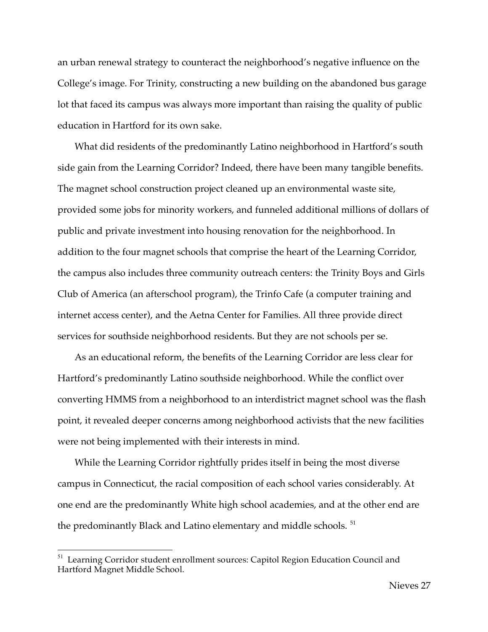an urban renewal strategy to counteract the neighborhood's negative influence on the College's image. For Trinity, constructing a new building on the abandoned bus garage lot that faced its campus was always more important than raising the quality of public education in Hartford for its own sake.

What did residents of the predominantly Latino neighborhood in Hartford's south side gain from the Learning Corridor? Indeed, there have been many tangible benefits. The magnet school construction project cleaned up an environmental waste site, provided some jobs for minority workers, and funneled additional millions of dollars of public and private investment into housing renovation for the neighborhood. In addition to the four magnet schools that comprise the heart of the Learning Corridor, the campus also includes three community outreach centers: the Trinity Boys and Girls Club of America (an afterschool program), the Trinfo Cafe (a computer training and internet access center), and the Aetna Center for Families. All three provide direct services for southside neighborhood residents. But they are not schools per se.

As an educational reform, the benefits of the Learning Corridor are less clear for Hartford's predominantly Latino southside neighborhood. While the conflict over converting HMMS from a neighborhood to an interdistrict magnet school was the flash point, it revealed deeper concerns among neighborhood activists that the new facilities were not being implemented with their interests in mind.

While the Learning Corridor rightfully prides itself in being the most diverse campus in Connecticut, the racial composition of each school varies considerably. At one end are the predominantly White high school academies, and at the other end are the predominantly Black and Latino elementary and middle schools.<sup>51</sup>

<sup>&</sup>lt;sup>51</sup> Learning Corridor student enrollment sources: Capitol Region Education Council and Hartford Magnet Middle School.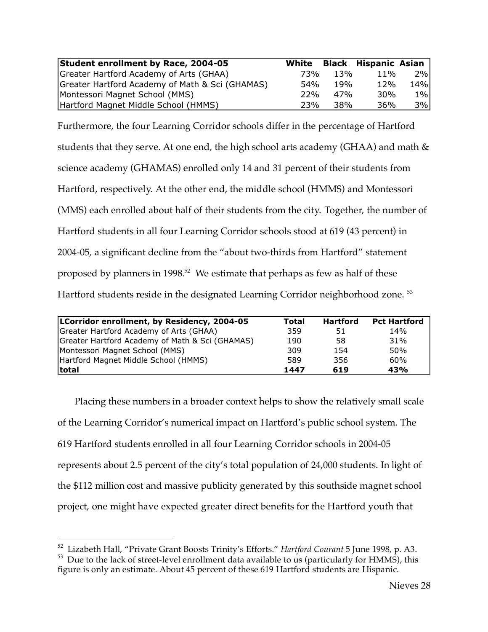| Student enrollment by Race, 2004-05             | White |                 | Black Hispanic Asian |       |
|-------------------------------------------------|-------|-----------------|----------------------|-------|
| Greater Hartford Academy of Arts (GHAA)         | 73%   | 13%             | $11\%$               | 2%1   |
| Greater Hartford Academy of Math & Sci (GHAMAS) | 54%   | 19 <sub>%</sub> | 12%                  | 14%l  |
| Montessori Magnet School (MMS)                  | 22%   | 47%             | 30 <sub>%</sub>      | $1\%$ |
| Hartford Magnet Middle School (HMMS)            | 23%   | 38%             | 36%                  | 3%    |

Furthermore, the four Learning Corridor schools differ in the percentage of Hartford students that they serve. At one end, the high school arts academy (GHAA) and math & science academy (GHAMAS) enrolled only 14 and 31 percent of their students from Hartford, respectively. At the other end, the middle school (HMMS) and Montessori (MMS) each enrolled about half of their students from the city. Together, the number of Hartford students in all four Learning Corridor schools stood at 619 (43 percent) in 2004-05, a significant decline from the "about two-thirds from Hartford" statement proposed by planners in 1998.<sup>52</sup> We estimate that perhaps as few as half of these Hartford students reside in the designated Learning Corridor neighborhood zone. <sup>53</sup>

| LCorridor enrollment, by Residency, 2004-05     | Total | <b>Hartford</b> | <b>Pct Hartford</b> |
|-------------------------------------------------|-------|-----------------|---------------------|
| Greater Hartford Academy of Arts (GHAA)         | 359   | 51              | 14%                 |
| Greater Hartford Academy of Math & Sci (GHAMAS) | 190   | 58              | 31%                 |
| Montessori Magnet School (MMS)                  | 309   | 154             | 50%                 |
| Hartford Magnet Middle School (HMMS)            | 589   | 356             | 60%                 |
| <b>total</b>                                    | 1447  | 619             | 43%                 |

Placing these numbers in a broader context helps to show the relatively small scale of the Learning Corridor's numerical impact on Hartford's public school system. The 619 Hartford students enrolled in all four Learning Corridor schools in 2004-05 represents about 2.5 percent of the city's total population of 24,000 students. In light of the \$112 million cost and massive publicity generated by this southside magnet school project, one might have expected greater direct benefits for the Hartford youth that

<sup>&</sup>lt;sup>52</sup> Lizabeth Hall, "Private Grant Boosts Trinity's Efforts." *Hartford Courant* 5 June 1998, p. A3.<br><sup>53</sup> Due to the lack of street-level enrollment data available to us (particularly for HMMS), this

figure is only an estimate. About 45 percent of these 619 Hartford students are Hispanic.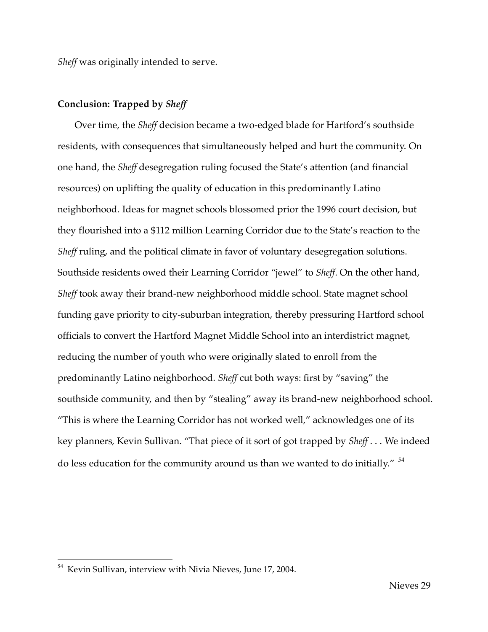*Sheff* was originally intended to serve.

### **Conclusion: Trapped by** *Sheff*

Over time, the *Sheff* decision became a two-edged blade for Hartford's southside residents, with consequences that simultaneously helped and hurt the community. On one hand, the *Sheff* desegregation ruling focused the State's attention (and financial resources) on uplifting the quality of education in this predominantly Latino neighborhood. Ideas for magnet schools blossomed prior the 1996 court decision, but they flourished into a \$112 million Learning Corridor due to the State's reaction to the *Sheff* ruling, and the political climate in favor of voluntary desegregation solutions. Southside residents owed their Learning Corridor "jewel" to *Sheff*. On the other hand, *Sheff* took away their brand-new neighborhood middle school. State magnet school funding gave priority to city-suburban integration, thereby pressuring Hartford school officials to convert the Hartford Magnet Middle School into an interdistrict magnet, reducing the number of youth who were originally slated to enroll from the predominantly Latino neighborhood. *Sheff* cut both ways: first by "saving" the southside community, and then by "stealing" away its brand-new neighborhood school. "This is where the Learning Corridor has not worked well," acknowledges one of its key planners, Kevin Sullivan. "That piece of it sort of got trapped by *Sheff* . . . We indeed do less education for the community around us than we wanted to do initially." <sup>54</sup>

 <sup>54</sup> Kevin Sullivan, interview with Nivia Nieves, June 17, 2004.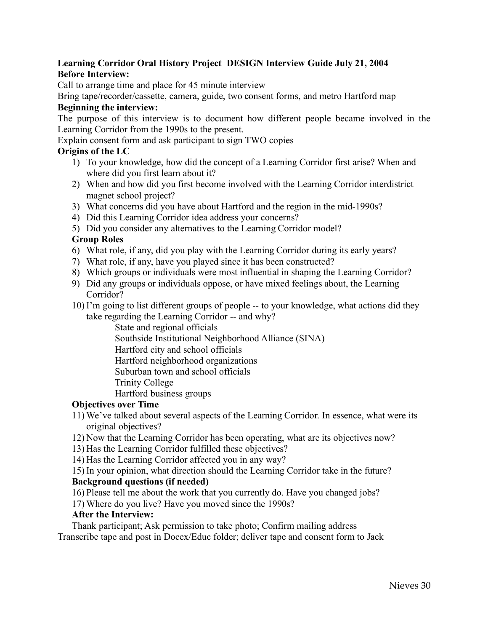## **Learning Corridor Oral History Project DESIGN Interview Guide July 21, 2004 Before Interview:**

Call to arrange time and place for 45 minute interview

Bring tape/recorder/cassette, camera, guide, two consent forms, and metro Hartford map

## **Beginning the interview:**

The purpose of this interview is to document how different people became involved in the Learning Corridor from the 1990s to the present.

Explain consent form and ask participant to sign TWO copies

## **Origins of the LC**

- 1) To your knowledge, how did the concept of a Learning Corridor first arise? When and where did you first learn about it?
- 2) When and how did you first become involved with the Learning Corridor interdistrict magnet school project?
- 3) What concerns did you have about Hartford and the region in the mid-1990s?
- 4) Did this Learning Corridor idea address your concerns?
- 5) Did you consider any alternatives to the Learning Corridor model?

## **Group Roles**

- 6) What role, if any, did you play with the Learning Corridor during its early years?
- 7) What role, if any, have you played since it has been constructed?
- 8) Which groups or individuals were most influential in shaping the Learning Corridor?
- 9) Did any groups or individuals oppose, or have mixed feelings about, the Learning Corridor?
- 10) I'm going to list different groups of people -- to your knowledge, what actions did they take regarding the Learning Corridor -- and why?

State and regional officials Southside Institutional Neighborhood Alliance (SINA) Hartford city and school officials Hartford neighborhood organizations Suburban town and school officials Trinity College

Hartford business groups

### **Objectives over Time**

- 11) We've talked about several aspects of the Learning Corridor. In essence, what were its original objectives?
- 12) Now that the Learning Corridor has been operating, what are its objectives now?
- 13) Has the Learning Corridor fulfilled these objectives?
- 14) Has the Learning Corridor affected you in any way?
- 15) In your opinion, what direction should the Learning Corridor take in the future?

## **Background questions (if needed)**

- 16) Please tell me about the work that you currently do. Have you changed jobs?
- 17) Where do you live? Have you moved since the 1990s?

### **After the Interview:**

Thank participant; Ask permission to take photo; Confirm mailing address Transcribe tape and post in Docex/Educ folder; deliver tape and consent form to Jack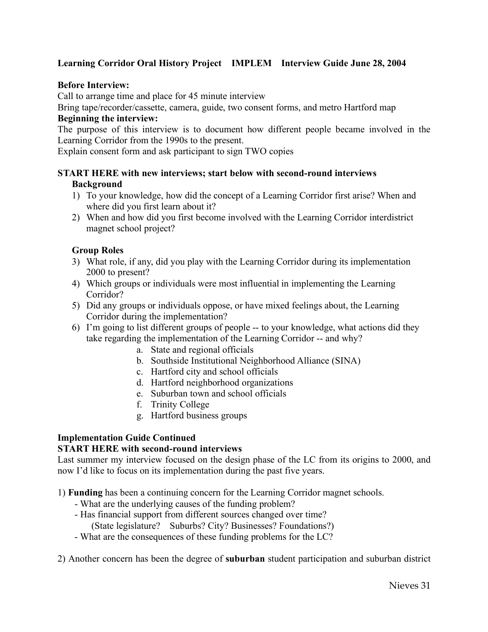## **Learning Corridor Oral History Project IMPLEM Interview Guide June 28, 2004**

## **Before Interview:**

Call to arrange time and place for 45 minute interview

Bring tape/recorder/cassette, camera, guide, two consent forms, and metro Hartford map **Beginning the interview:**

The purpose of this interview is to document how different people became involved in the Learning Corridor from the 1990s to the present.

Explain consent form and ask participant to sign TWO copies

## **START HERE with new interviews; start below with second-round interviews Background**

- 1) To your knowledge, how did the concept of a Learning Corridor first arise? When and where did you first learn about it?
- 2) When and how did you first become involved with the Learning Corridor interdistrict magnet school project?

## **Group Roles**

- 3) What role, if any, did you play with the Learning Corridor during its implementation 2000 to present?
- 4) Which groups or individuals were most influential in implementing the Learning Corridor?
- 5) Did any groups or individuals oppose, or have mixed feelings about, the Learning Corridor during the implementation?
- 6) I'm going to list different groups of people -- to your knowledge, what actions did they take regarding the implementation of the Learning Corridor -- and why?
	- a. State and regional officials
	- b. Southside Institutional Neighborhood Alliance (SINA)
	- c. Hartford city and school officials
	- d. Hartford neighborhood organizations
	- e. Suburban town and school officials
	- f. Trinity College
	- g. Hartford business groups

## **Implementation Guide Continued**

### **START HERE with second-round interviews**

Last summer my interview focused on the design phase of the LC from its origins to 2000, and now I'd like to focus on its implementation during the past five years.

1) **Funding** has been a continuing concern for the Learning Corridor magnet schools.

- What are the underlying causes of the funding problem?
- Has financial support from different sources changed over time?
	- (State legislature? Suburbs? City? Businesses? Foundations?)
- What are the consequences of these funding problems for the LC?
- 2) Another concern has been the degree of **suburban** student participation and suburban district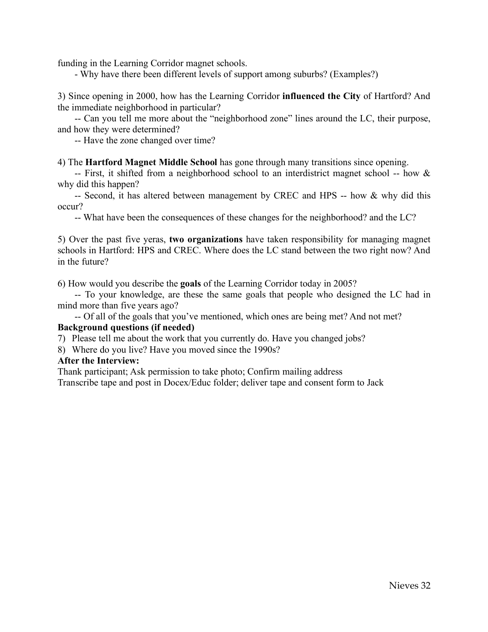funding in the Learning Corridor magnet schools.

- Why have there been different levels of support among suburbs? (Examples?)

3) Since opening in 2000, how has the Learning Corridor **influenced the City** of Hartford? And the immediate neighborhood in particular?

-- Can you tell me more about the "neighborhood zone" lines around the LC, their purpose, and how they were determined?

-- Have the zone changed over time?

4) The **Hartford Magnet Middle School** has gone through many transitions since opening.

-- First, it shifted from a neighborhood school to an interdistrict magnet school -- how & why did this happen?

-- Second, it has altered between management by CREC and HPS -- how & why did this occur?

-- What have been the consequences of these changes for the neighborhood? and the LC?

5) Over the past five yeras, **two organizations** have taken responsibility for managing magnet schools in Hartford: HPS and CREC. Where does the LC stand between the two right now? And in the future?

6) How would you describe the **goals** of the Learning Corridor today in 2005?

-- To your knowledge, are these the same goals that people who designed the LC had in mind more than five years ago?

-- Of all of the goals that you've mentioned, which ones are being met? And not met?

#### **Background questions (if needed)**

7) Please tell me about the work that you currently do. Have you changed jobs?

8) Where do you live? Have you moved since the 1990s?

#### **After the Interview:**

Thank participant; Ask permission to take photo; Confirm mailing address

Transcribe tape and post in Docex/Educ folder; deliver tape and consent form to Jack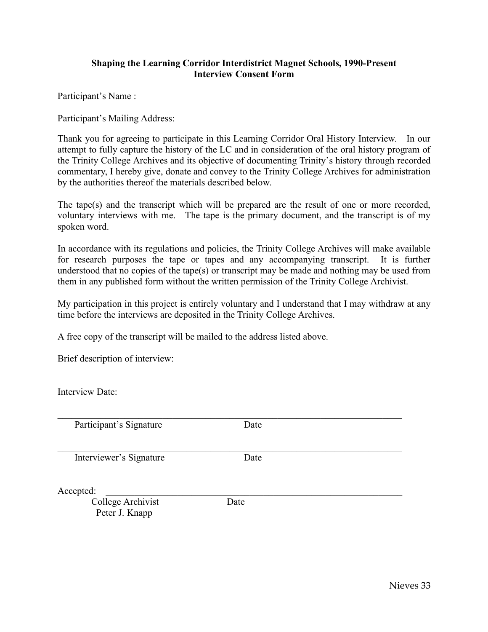### **Shaping the Learning Corridor Interdistrict Magnet Schools, 1990-Present Interview Consent Form**

Participant's Name :

Participant's Mailing Address:

Thank you for agreeing to participate in this Learning Corridor Oral History Interview. In our attempt to fully capture the history of the LC and in consideration of the oral history program of the Trinity College Archives and its objective of documenting Trinity's history through recorded commentary, I hereby give, donate and convey to the Trinity College Archives for administration by the authorities thereof the materials described below.

The tape(s) and the transcript which will be prepared are the result of one or more recorded, voluntary interviews with me. The tape is the primary document, and the transcript is of my spoken word.

In accordance with its regulations and policies, the Trinity College Archives will make available for research purposes the tape or tapes and any accompanying transcript. It is further understood that no copies of the tape(s) or transcript may be made and nothing may be used from them in any published form without the written permission of the Trinity College Archivist.

My participation in this project is entirely voluntary and I understand that I may withdraw at any time before the interviews are deposited in the Trinity College Archives.

A free copy of the transcript will be mailed to the address listed above.

Brief description of interview:

Interview Date:

Participant's Signature Date

Interviewer's Signature Date

 $\mathcal{L}_\mathcal{L} = \{ \mathcal{L}_\mathcal{L} = \{ \mathcal{L}_\mathcal{L} = \{ \mathcal{L}_\mathcal{L} = \{ \mathcal{L}_\mathcal{L} = \{ \mathcal{L}_\mathcal{L} = \{ \mathcal{L}_\mathcal{L} = \{ \mathcal{L}_\mathcal{L} = \{ \mathcal{L}_\mathcal{L} = \{ \mathcal{L}_\mathcal{L} = \{ \mathcal{L}_\mathcal{L} = \{ \mathcal{L}_\mathcal{L} = \{ \mathcal{L}_\mathcal{L} = \{ \mathcal{L}_\mathcal{L} = \{ \mathcal{L}_\mathcal{$ 

Accepted:

College Archivist Date Peter J. Knapp

 $\mathcal{L}_\mathcal{L} = \{ \mathcal{L}_\mathcal{L} = \{ \mathcal{L}_\mathcal{L} = \{ \mathcal{L}_\mathcal{L} = \{ \mathcal{L}_\mathcal{L} = \{ \mathcal{L}_\mathcal{L} = \{ \mathcal{L}_\mathcal{L} = \{ \mathcal{L}_\mathcal{L} = \{ \mathcal{L}_\mathcal{L} = \{ \mathcal{L}_\mathcal{L} = \{ \mathcal{L}_\mathcal{L} = \{ \mathcal{L}_\mathcal{L} = \{ \mathcal{L}_\mathcal{L} = \{ \mathcal{L}_\mathcal{L} = \{ \mathcal{L}_\mathcal{$